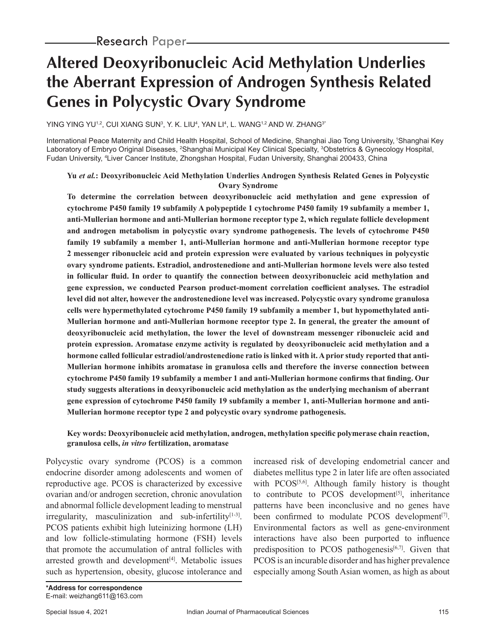# **Altered Deoxyribonucleic Acid Methylation Underlies the Aberrant Expression of Androgen Synthesis Related Genes in Polycystic Ovary Syndrome**

YING YING YU12, CUI XIANG SUN3, Y. K. LIU4, YAN LI4, L. WANG12 AND W. ZHANG3\*  $\,$ 

International Peace Maternity and Child Health Hospital, School of Medicine, Shanghai Jiao Tong University, 1Shanghai Key Laboratory of Embryo Original Diseases, <sup>2</sup>Shanghai Municipal Key Clinical Specialty, <sup>3</sup>Obstetrics & Gynecology Hospital, Fudan University, 4 Liver Cancer Institute, Zhongshan Hospital, Fudan University, Shanghai 200433, China

## **Yu** *et al.***: Deoxyribonucleic Acid Methylation Underlies Androgen Synthesis Related Genes in Polycystic Ovary Syndrome**

**To determine the correlation between deoxyribonucleic acid methylation and gene expression of cytochrome P450 family 19 subfamily A polypeptide 1 cytochrome P450 family 19 subfamily a member 1, anti-Mullerian hormone and anti-Mullerian hormone receptor type 2, which regulate follicle development and androgen metabolism in polycystic ovary syndrome pathogenesis. The levels of cytochrome P450 family 19 subfamily a member 1, anti-Mullerian hormone and anti-Mullerian hormone receptor type 2 messenger ribonucleic acid and protein expression were evaluated by various techniques in polycystic ovary syndrome patients. Estradiol, androstenedione and anti-Mullerian hormone levels were also tested in follicular fluid. In order to quantify the connection between deoxyribonucleic acid methylation and gene expression, we conducted Pearson product-moment correlation coefficient analyses. The estradiol level did not alter, however the androstenedione level was increased. Polycystic ovary syndrome granulosa cells were hypermethylated cytochrome P450 family 19 subfamily a member 1, but hypomethylated anti-Mullerian hormone and anti-Mullerian hormone receptor type 2. In general, the greater the amount of deoxyribonucleic acid methylation, the lower the level of downstream messenger ribonucleic acid and protein expression. Aromatase enzyme activity is regulated by deoxyribonucleic acid methylation and a hormone called follicular estradiol/androstenedione ratio is linked with it. A prior study reported that anti-Mullerian hormone inhibits aromatase in granulosa cells and therefore the inverse connection between cytochrome P450 family 19 subfamily a member 1 and anti-Mullerian hormone confirms that finding. Our study suggests alterations in deoxyribonucleic acid methylation as the underlying mechanism of aberrant gene expression of cytochrome P450 family 19 subfamily a member 1, anti-Mullerian hormone and anti-Mullerian hormone receptor type 2 and polycystic ovary syndrome pathogenesis.**

#### **Key words: Deoxyribonucleic acid methylation, androgen, methylation specific polymerase chain reaction, granulosa cells,** *in vitro* **fertilization, aromatase**

Polycystic ovary syndrome (PCOS) is a common endocrine disorder among adolescents and women of reproductive age. PCOS is characterized by excessive ovarian and/or androgen secretion, chronic anovulation and abnormal follicle development leading to menstrual  $irregularity$ , masculinization and sub-infertility $[1-3]$ . PCOS patients exhibit high luteinizing hormone (LH) and low follicle-stimulating hormone (FSH) levels that promote the accumulation of antral follicles with arrested growth and development<sup>[4]</sup>. Metabolic issues such as hypertension, obesity, glucose intolerance and

increased risk of developing endometrial cancer and diabetes mellitus type 2 in later life are often associated with  $PCOS^{[5,6]}$ . Although family history is thought to contribute to PCOS development $[5]$ , inheritance patterns have been inconclusive and no genes have been confirmed to modulate PCOS development<sup>[7]</sup>. Environmental factors as well as gene-environment interactions have also been purported to influence predisposition to PCOS pathogenesis $[6,7]$ . Given that PCOS is an incurable disorder and has higher prevalence especially among South Asian women, as high as about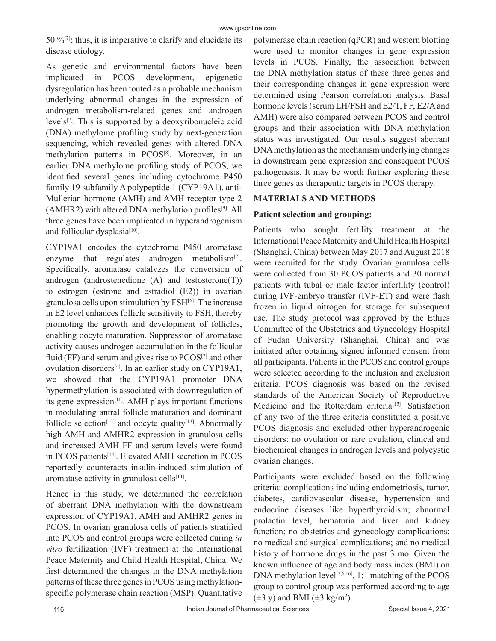50 % $[7]$ ; thus, it is imperative to clarify and elucidate its disease etiology.

As genetic and environmental factors have been implicated in PCOS development, epigenetic dysregulation has been touted as a probable mechanism underlying abnormal changes in the expression of androgen metabolism-related genes and androgen levels[7]. This is supported by a deoxyribonucleic acid (DNA) methylome profiling study by next-generation sequencing, which revealed genes with altered DNA methylation patterns in PCOS<sup>[8]</sup>. Moreover, in an earlier DNA methylome profiling study of PCOS, we identified several genes including cytochrome P450 family 19 subfamily A polypeptide 1 (CYP19A1), anti-Mullerian hormone (AMH) and AMH receptor type 2 (AMHR2) with altered DNA methylation profiles<sup>[9]</sup>. All three genes have been implicated in hyperandrogenism and follicular dysplasia<sup>[10]</sup>.

CYP19A1 encodes the cytochrome P450 aromatase enzyme that regulates androgen metabolism $[2]$ . Specifically, aromatase catalyzes the conversion of androgen (androstenedione (A) and testosterone(T)) to estrogen (estrone and estradiol (E2)) in ovarian granulosa cells upon stimulation by FSH[6]. The increase in E2 level enhances follicle sensitivity to FSH, thereby promoting the growth and development of follicles, enabling oocyte maturation. Suppression of aromatase activity causes androgen accumulation in the follicular fluid (FF) and serum and gives rise to  $PCOS^{[2]}$  and other ovulation disorders<sup>[4]</sup>. In an earlier study on CYP19A1, we showed that the CYP19A1 promoter DNA hypermethylation is associated with downregulation of its gene expression<sup>[11]</sup>. AMH plays important functions in modulating antral follicle maturation and dominant follicle selection<sup>[12]</sup> and oocyte quality<sup>[13]</sup>. Abnormally high AMH and AMHR2 expression in granulosa cells and increased AMH FF and serum levels were found in PCOS patients[14]. Elevated AMH secretion in PCOS reportedly counteracts insulin-induced stimulation of aromatase activity in granulosa cells $[14]$ .

Hence in this study, we determined the correlation of aberrant DNA methylation with the downstream expression of CYP19A1, AMH and AMHR2 genes in PCOS. In ovarian granulosa cells of patients stratified into PCOS and control groups were collected during *in vitro* fertilization (IVF) treatment at the International Peace Maternity and Child Health Hospital, China. We first determined the changes in the DNA methylation patterns of these three genes in PCOS using methylationspecific polymerase chain reaction (MSP). Quantitative polymerase chain reaction (qPCR) and western blotting were used to monitor changes in gene expression levels in PCOS. Finally, the association between the DNA methylation status of these three genes and their corresponding changes in gene expression were determined using Pearson correlation analysis. Basal hormone levels (serum LH/FSH and E2/T, FF, E2/A and AMH) were also compared between PCOS and control groups and their association with DNA methylation status was investigated. Our results suggest aberrant DNA methylation as the mechanism underlying changes in downstream gene expression and consequent PCOS pathogenesis. It may be worth further exploring these three genes as therapeutic targets in PCOS therapy.

# **MATERIALS AND METHODS**

# **Patient selection and grouping:**

Patients who sought fertility treatment at the International Peace Maternity and Child Health Hospital (Shanghai, China) between May 2017 and August 2018 were recruited for the study. Ovarian granulosa cells were collected from 30 PCOS patients and 30 normal patients with tubal or male factor infertility (control) during IVF-embryo transfer (IVF-ET) and were flash frozen in liquid nitrogen for storage for subsequent use. The study protocol was approved by the Ethics Committee of the Obstetrics and Gynecology Hospital of Fudan University (Shanghai, China) and was initiated after obtaining signed informed consent from all participants. Patients in the PCOS and control groups were selected according to the inclusion and exclusion criteria. PCOS diagnosis was based on the revised standards of the American Society of Reproductive Medicine and the Rotterdam criteria<sup>[15]</sup>. Satisfaction of any two of the three criteria constituted a positive PCOS diagnosis and excluded other hyperandrogenic disorders: no ovulation or rare ovulation, clinical and biochemical changes in androgen levels and polycystic ovarian changes.

Participants were excluded based on the following criteria: complications including endometriosis, tumor, diabetes, cardiovascular disease, hypertension and endocrine diseases like hyperthyroidism; abnormal prolactin level, hematuria and liver and kidney function; no obstetrics and gynecology complications; no medical and surgical complications; and no medical history of hormone drugs in the past 3 mo. Given the known influence of age and body mass index (BMI) on DNA methylation level<sup>[3,6,16]</sup>, 1:1 matching of the PCOS group to control group was performed according to age  $(\pm 3 \text{ y})$  and BMI  $(\pm 3 \text{ kg/m}^2)$ .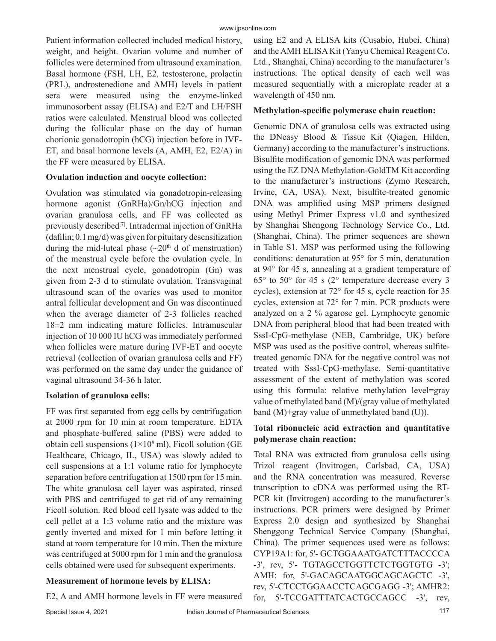Patient information collected included medical history, weight, and height. Ovarian volume and number of follicles were determined from ultrasound examination. Basal hormone (FSH, LH, E2, testosterone, prolactin (PRL), androstenedione and AMH) levels in patient sera were measured using the enzyme-linked immunosorbent assay (ELISA) and E2/T and LH/FSH ratios were calculated. Menstrual blood was collected during the follicular phase on the day of human chorionic gonadotropin (hCG) injection before in IVF-ET, and basal hormone levels (A, AMH, E2, E2/A) in the FF were measured by ELISA.

## **Ovulation induction and oocyte collection:**

Ovulation was stimulated via gonadotropin-releasing hormone agonist (GnRHa)/Gn/hCG injection and ovarian granulosa cells, and FF was collected as previously described<sup>[7]</sup>. Intradermal injection of GnRHa (dafilin; 0.1 mg/d) was given for pituitary desensitization during the mid-luteal phase  $(\sim 20<sup>th</sup>$  d of menstruation) of the menstrual cycle before the ovulation cycle. In the next menstrual cycle, gonadotropin (Gn) was given from 2-3 d to stimulate ovulation. Transvaginal ultrasound scan of the ovaries was used to monitor antral follicular development and Gn was discontinued when the average diameter of 2-3 follicles reached 18±2 mm indicating mature follicles. Intramuscular injection of 10 000 IU hCG was immediately performed when follicles were mature during IVF-ET and oocyte retrieval (collection of ovarian granulosa cells and FF) was performed on the same day under the guidance of vaginal ultrasound 34-36 h later.

# **Isolation of granulosa cells:**

FF was first separated from egg cells by centrifugation at 2000 rpm for 10 min at room temperature. EDTA and phosphate-buffered saline (PBS) were added to obtain cell suspensions  $(1\times10^8 \text{ ml})$ . Ficoll solution (GE Healthcare, Chicago, IL, USA) was slowly added to cell suspensions at a 1:1 volume ratio for lymphocyte separation before centrifugation at 1500 rpm for 15 min. The white granulosa cell layer was aspirated, rinsed with PBS and centrifuged to get rid of any remaining Ficoll solution. Red blood cell lysate was added to the cell pellet at a 1:3 volume ratio and the mixture was gently inverted and mixed for 1 min before letting it stand at room temperature for 10 min. Then the mixture was centrifuged at 5000 rpm for 1 min and the granulosa cells obtained were used for subsequent experiments.

# **Measurement of hormone levels by ELISA:**

E2, A and AMH hormone levels in FF were measured

using E2 and A ELISA kits (Cusabio, Hubei, China) and the AMH ELISA Kit (Yanyu Chemical Reagent Co. Ltd., Shanghai, China) according to the manufacturer's instructions. The optical density of each well was measured sequentially with a microplate reader at a wavelength of 450 nm.

# **Methylation-specific polymerase chain reaction:**

Genomic DNA of granulosa cells was extracted using the DNeasy Blood & Tissue Kit (Qiagen, Hilden, Germany) according to the manufacturer's instructions. Bisulfite modification of genomic DNA was performed using the EZ DNA Methylation-GoldTM Kit according to the manufacturer's instructions (Zymo Research, Irvine, CA, USA). Next, bisulfite-treated genomic DNA was amplified using MSP primers designed using Methyl Primer Express v1.0 and synthesized by Shanghai Shengong Technology Service Co., Ltd. (Shanghai, China). The primer sequences are shown in Table S1. MSP was performed using the following conditions: denaturation at 95° for 5 min, denaturation at 94° for 45 s, annealing at a gradient temperature of 65° to 50° for 45 s (2° temperature decrease every 3 cycles), extension at 72° for 45 s, cycle reaction for 35 cycles, extension at 72° for 7 min. PCR products were analyzed on a 2 % agarose gel. Lymphocyte genomic DNA from peripheral blood that had been treated with SssI-CpG-methylase (NEB, Cambridge, UK) before MSP was used as the positive control, whereas sulfitetreated genomic DNA for the negative control was not treated with SssI-CpG-methylase. Semi-quantitative assessment of the extent of methylation was scored using this formula: relative methylation level=gray value of methylated band (M)/(gray value of methylated band (M)+gray value of unmethylated band (U)).

# **Total ribonucleic acid extraction and quantitative polymerase chain reaction:**

Total RNA was extracted from granulosa cells using Trizol reagent (Invitrogen, Carlsbad, CA, USA) and the RNA concentration was measured. Reverse transcription to cDNA was performed using the RT-PCR kit (Invitrogen) according to the manufacturer's instructions. PCR primers were designed by Primer Express 2.0 design and synthesized by Shanghai Shenggong Technical Service Company (Shanghai, China). The primer sequences used were as follows: CYP19A1: for, 5'- GCTGGAAATGATCTTTACCCCA -3', rev, 5'- TGTAGCCTGGTTCTCTGGTGTG -3'; AMH: for, 5'-GACAGCAATGGCAGCAGCTC -3', rev, 5'-CTCCTGGAACCTCAGCGAGG -3'; AMHR2: for, 5'-TCCGATTTATCACTGCCAGCC -3', rev,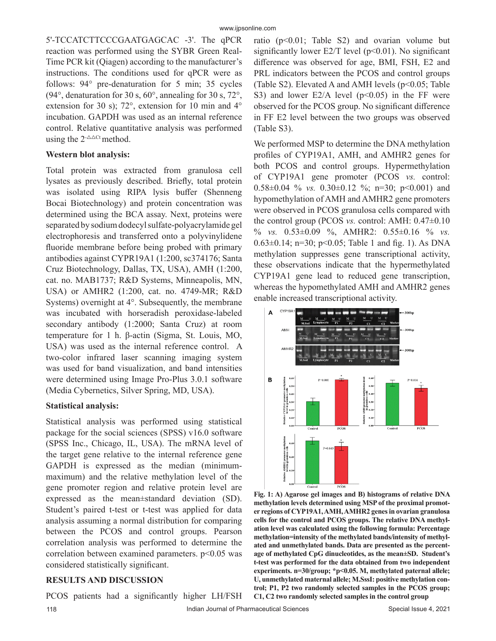5'-TCCATCTTCCCGAATGAGCAC -3'. The qPCR reaction was performed using the SYBR Green Real-Time PCR kit (Qiagen) according to the manufacturer's instructions. The conditions used for qPCR were as follows: 94° pre-denaturation for 5 min; 35 cycles (94°, denaturation for 30 s, 60°, annealing for 30 s, 72°, extension for 30 s); 72°, extension for 10 min and 4° incubation. GAPDH was used as an internal reference control. Relative quantitative analysis was performed using the  $2^{-\Delta\Delta Ct}$  method.

#### **Western blot analysis:**

Total protein was extracted from granulosa cell lysates as previously described. Briefly, total protein was isolated using RIPA lysis buffer (Shenneng Bocai Biotechnology) and protein concentration was determined using the BCA assay. Next, proteins were separated by sodium dodecyl sulfate-polyacrylamide gel electrophoresis and transferred onto a polyvinylidene fluoride membrane before being probed with primary antibodies against CYPR19A1 (1:200, sc374176; Santa Cruz Biotechnology, Dallas, TX, USA), AMH (1:200, cat. no. MAB1737; R&D Systems, Minneapolis, MN, USA) or AMHR2 (1:200, cat. no. 4749-MR; R&D Systems) overnight at 4°. Subsequently, the membrane was incubated with horseradish peroxidase-labeled secondary antibody (1:2000; Santa Cruz) at room temperature for 1 h. β-actin (Sigma, St. Louis, MO, USA) was used as the internal reference control. A two-color infrared laser scanning imaging system was used for band visualization, and band intensities were determined using Image Pro-Plus 3.0.1 software (Media Cybernetics, Silver Spring, MD, USA).

#### **Statistical analysis:**

Statistical analysis was performed using statistical package for the social sciences (SPSS) v16.0 software (SPSS Inc., Chicago, IL, USA). The mRNA level of the target gene relative to the internal reference gene GAPDH is expressed as the median (minimummaximum) and the relative methylation level of the gene promoter region and relative protein level are expressed as the mean±standard deviation (SD). Student's paired t-test or t-test was applied for data analysis assuming a normal distribution for comparing between the PCOS and control groups. Pearson correlation analysis was performed to determine the correlation between examined parameters. p<0.05 was considered statistically significant.

#### **RESULTS AND DISCUSSION**

PCOS patients had a significantly higher LH/FSH

ratio  $(p<0.01$ ; Table S2) and ovarian volume but significantly lower E2/T level  $(p<0.01)$ . No significant difference was observed for age, BMI, FSH, E2 and PRL indicators between the PCOS and control groups (Table S2). Elevated A and AMH levels (p<0.05; Table S3) and lower E2/A level  $(p<0.05)$  in the FF were observed for the PCOS group. No significant difference in FF E2 level between the two groups was observed (Table S3).

We performed MSP to determine the DNA methylation profiles of CYP19A1, AMH, and AMHR2 genes for both PCOS and control groups. Hypermethylation of CYP19A1 gene promoter (PCOS *vs.* control: 0.58±0.04 % *vs.* 0.30±0.12 %; n=30; p<0.001) and hypomethylation of AMH and AMHR2 gene promoters were observed in PCOS granulosa cells compared with the control group (PCOS *vs.* control: AMH: 0.47±0.10 % *vs.* 0.53±0.09 %, AMHR2: 0.55±0.16 % *vs.* 0.63 $\pm$ 0.14; n=30; p<0.05; Table 1 and fig. 1). As DNA methylation suppresses gene transcriptional activity, these observations indicate that the hypermethylated CYP19A1 gene lead to reduced gene transcription, whereas the hypomethylated AMH and AMHR2 genes enable increased transcriptional activity.



**Fig. 1: A) Agarose gel images and B) histograms of relative DNA methylation levels determined using MSP of the proximal promoter regions of CYP19A1, AMH, AMHR2 genes in ovarian granulosa cells for the control and PCOS groups. The relative DNA methylation level was calculated using the following formula: Percentage methylation=intensity of the methylated bands/intensity of methylated and unmethylated bands. Data are presented as the percentage of methylated CpG dinucleotides, as the mean±SD. Student's t-test was performed for the data obtained from two independent experiments. n=30/group; \*p<0.05. M, methylated paternal allele; U, unmethylated maternal allele; M.SssI: positive methylation control; P1, P2 two randomly selected samples in the PCOS group; C1, C2 two randomly selected samples in the control group**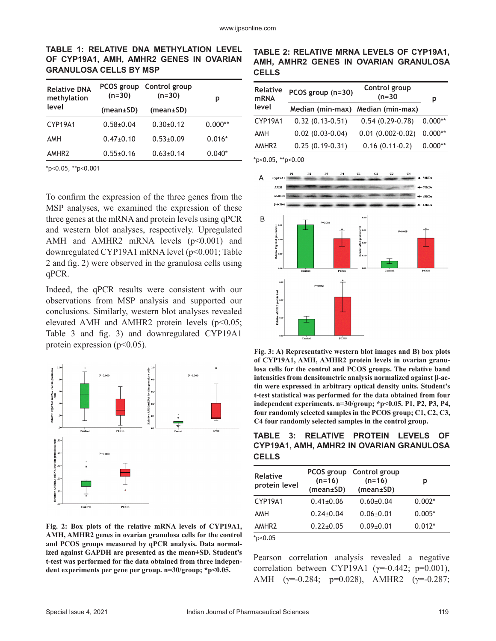## **TABLE 1: RELATIVE DNA METHYLATION LEVEL OF CYP19A1, AMH, AMHR2 GENES IN OVARIAN GRANULOSA CELLS BY MSP**

| $(n=30)$        | Control group<br>$(n=30)$ | р          |
|-----------------|---------------------------|------------|
| (mean±SD)       | (mean±SD)                 |            |
| $0.58 + 0.04$   | $0.30+0.12$               | $0.000**$  |
| $0.47+0.10$     | $0.53 \pm 0.09$           | $0.016*$   |
| $0.55 \pm 0.16$ | $0.63 \pm 0.14$           | $0.040*$   |
|                 |                           | PCOS group |

\*p<0.05, \*\*p<0.001

To confirm the expression of the three genes from the MSP analyses, we examined the expression of these three genes at the mRNA and protein levels using qPCR and western blot analyses, respectively. Upregulated AMH and AMHR2 mRNA levels  $(p<0.001)$  and downregulated CYP19A1 mRNA level (p<0.001; Table 2 and fig. 2) were observed in the granulosa cells using qPCR.

Indeed, the qPCR results were consistent with our observations from MSP analysis and supported our conclusions. Similarly, western blot analyses revealed elevated AMH and AMHR2 protein levels ( $p<0.05$ ; Table 3 and fig. 3) and downregulated CYP19A1 protein expression  $(p<0.05)$ .



**Fig. 2: Box plots of the relative mRNA levels of CYP19A1, AMH, AMHR2 genes in ovarian granulosa cells for the control and PCOS groups measured by qPCR analysis. Data normalized against GAPDH are presented as the mean±SD. Student's t-test was performed for the data obtained from three independent experiments per gene per group. n=30/group; \*p<0.05.**

### **TABLE 2: RELATIVE MRNA LEVELS OF CYP19A1, AMH, AMHR2 GENES IN OVARIAN GRANULOSA CELLS**

| <b>Relative</b><br><b>mRNA</b> | Control group<br>PCOS group (n=30)<br>$(n=30)$ |                         | р         |
|--------------------------------|------------------------------------------------|-------------------------|-----------|
| level                          | Median (min-max) Median (min-max)              |                         |           |
| CYP19A1                        | $0.32(0.13-0.51)$                              | $0.54(0.29-0.78)$       | $0.000**$ |
| <b>AMH</b>                     | $0.02$ $(0.03 - 0.04)$                         | $0.01$ $(0.002 - 0.02)$ | $0.000**$ |
| AMHR <sub>2</sub>              | $0.25(0.19-0.31)$                              | $0.16(0.11-0.2)$        | $0.000**$ |

\*p<0.05, \*\*p<0.00



**Fig. 3: A) Representative western blot images and B) box plots of CYP19A1, AMH, AMHR2 protein levels in ovarian granulosa cells for the control and PCOS groups. The relative band intensities from densitometric analysis normalized against β-actin were expressed in arbitrary optical density units. Student's t-test statistical was performed for the data obtained from four independent experiments. n=30/group; \*p<0.05. P1, P2, P3, P4, four randomly selected samples in the PCOS group; C1, C2, C3, C4 four randomly selected samples in the control group.**

**TABLE 3: RELATIVE PROTEIN LEVELS OF CYP19A1, AMH, AMHR2 IN OVARIAN GRANULOSA CELLS**

| <b>Relative</b><br>protein level | $(n=16)$<br>(mean±SD) | PCOS group Control group<br>$(n=16)$<br>(mean±SD) | р        |
|----------------------------------|-----------------------|---------------------------------------------------|----------|
| CYP19A1                          | $0.41 \pm 0.06$       | $0.60 \pm 0.04$                                   | $0.002*$ |
| AMH                              | $0.24 \pm 0.04$       | $0.06 \pm 0.01$                                   | $0.005*$ |
| AMHR <sub>2</sub>                | $0.22 \pm 0.05$       | $0.09 + 0.01$                                     | $0.012*$ |
| *p<0.05                          |                       |                                                   |          |

Pearson correlation analysis revealed a negative correlation between CYP19A1 ( $\gamma$ =-0.442; p=0.001), AMH  $(\gamma=0.284; p=0.028)$ , AMHR2  $(\gamma=0.287;$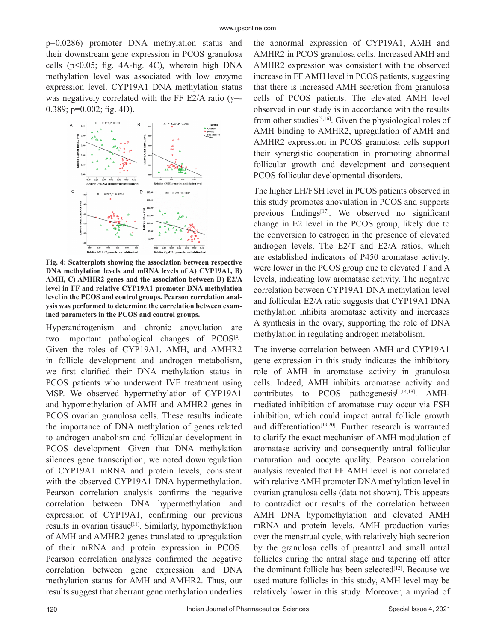p=0.0286) promoter DNA methylation status and their downstream gene expression in PCOS granulosa cells (p<0.05; fig. 4A-fig. 4C), wherein high DNA methylation level was associated with low enzyme expression level. CYP19A1 DNA methylation status was negatively correlated with the FF E2/A ratio ( $\gamma$ =- $0.389$ ; p= $0.002$ ; fig. 4D).



**Fig. 4: Scatterplots showing the association between respective DNA methylation levels and mRNA levels of A) CYP19A1, B) AMH, C) AMHR2 genes and the association between D) E2/A level in FF and relative CYP19A1 promoter DNA methylation level in the PCOS and control groups. Pearson correlation analysis was performed to determine the correlation between examined parameters in the PCOS and control groups.**

Hyperandrogenism and chronic anovulation are two important pathological changes of PCOS<sup>[4]</sup>. Given the roles of CYP19A1, AMH, and AMHR2 in follicle development and androgen metabolism, we first clarified their DNA methylation status in PCOS patients who underwent IVF treatment using MSP. We observed hypermethylation of CYP19A1 and hypomethylation of AMH and AMHR2 genes in PCOS ovarian granulosa cells. These results indicate the importance of DNA methylation of genes related to androgen anabolism and follicular development in PCOS development. Given that DNA methylation silences gene transcription, we noted downregulation of CYP19A1 mRNA and protein levels, consistent with the observed CYP19A1 DNA hypermethylation. Pearson correlation analysis confirms the negative correlation between DNA hypermethylation and expression of CYP19A1, confirming our previous results in ovarian tissue<sup>[11]</sup>. Similarly, hypomethylation of AMH and AMHR2 genes translated to upregulation of their mRNA and protein expression in PCOS. Pearson correlation analyses confirmed the negative correlation between gene expression and DNA methylation status for AMH and AMHR2. Thus, our results suggest that aberrant gene methylation underlies

the abnormal expression of CYP19A1, AMH and AMHR2 in PCOS granulosa cells. Increased AMH and AMHR2 expression was consistent with the observed increase in FF AMH level in PCOS patients, suggesting that there is increased AMH secretion from granulosa cells of PCOS patients. The elevated AMH level observed in our study is in accordance with the results from other studies<sup>[3,16]</sup>. Given the physiological roles of AMH binding to AMHR2, upregulation of AMH and AMHR2 expression in PCOS granulosa cells support their synergistic cooperation in promoting abnormal follicular growth and development and consequent PCOS follicular developmental disorders.

The higher LH/FSH level in PCOS patients observed in this study promotes anovulation in PCOS and supports previous findings<sup>[17]</sup>. We observed no significant change in E2 level in the PCOS group, likely due to the conversion to estrogen in the presence of elevated androgen levels. The E2/T and E2/A ratios, which are established indicators of P450 aromatase activity, were lower in the PCOS group due to elevated T and A levels, indicating low aromatase activity. The negative correlation between CYP19A1 DNA methylation level and follicular E2/A ratio suggests that CYP19A1 DNA methylation inhibits aromatase activity and increases A synthesis in the ovary, supporting the role of DNA methylation in regulating androgen metabolism.

The inverse correlation between AMH and CYP19A1 gene expression in this study indicates the inhibitory role of AMH in aromatase activity in granulosa cells. Indeed, AMH inhibits aromatase activity and contributes to PCOS pathogenesis $[1,14,18]$ . AMHmediated inhibition of aromatase may occur via FSH inhibition, which could impact antral follicle growth and differentiation<sup>[19,20]</sup>. Further research is warranted to clarify the exact mechanism of AMH modulation of aromatase activity and consequently antral follicular maturation and oocyte quality. Pearson correlation analysis revealed that FF AMH level is not correlated with relative AMH promoter DNA methylation level in ovarian granulosa cells (data not shown). This appears to contradict our results of the correlation between AMH DNA hypomethylation and elevated AMH mRNA and protein levels. AMH production varies over the menstrual cycle, with relatively high secretion by the granulosa cells of preantral and small antral follicles during the antral stage and tapering off after the dominant follicle has been selected<sup>[12]</sup>. Because we used mature follicles in this study, AMH level may be relatively lower in this study. Moreover, a myriad of